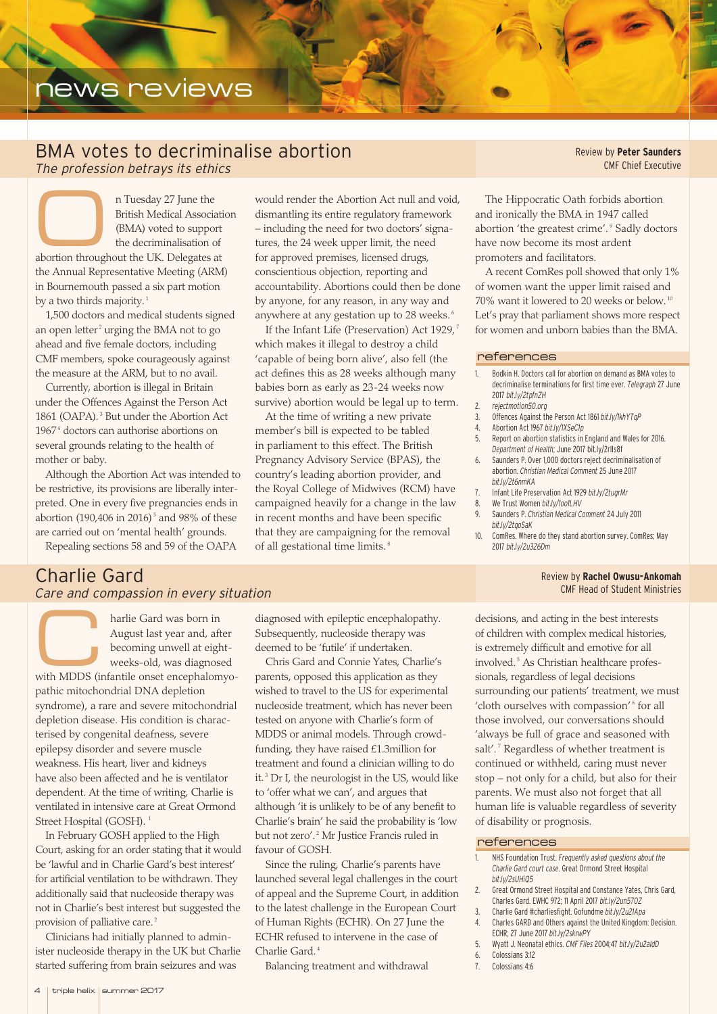# news reviews

## BMA votes to decriminalise abortion *The profession betrays its ethics*

n Tuesday 27 June the<br>British Medical Associ.<br>(BMA) voted to supporthe decriminalisation British Medical Association (BMA) voted to support the decriminalisation of abortion throughout the UK. Delegates at the Annual Representative Meeting (ARM) in Bournemouth passed a six part motion by a two thirds majority.<sup>1</sup>

1,500 doctors and medical students signed an open letter<sup>2</sup> urging the BMA not to go ahead and five female doctors, including CMF members, spoke courageously against the measure at the ARM, but to no avail.

Currently, abortion is illegal in Britain under the Offences Against the Person Act 1861 (OAPA). <sup>3</sup> But under the Abortion Act 1967<sup>4</sup> doctors can authorise abortions on several grounds relating to the health of mother or baby.

Although the Abortion Act was intended to be restrictive, its provisions are liberally interpreted. One in every five pregnancies ends in abortion (190,406 in 2016)<sup>5</sup> and 98% of these are carried out on 'mental health' grounds.

Repealing sections 58 and 59 of the OAPA

*Care and compassion in every situation*

Charlie Gard

would render the Abortion Act null and void, dismantling its entire regulatory framework – including the need for two doctors' signatures, the 24 week upper limit, the need for approved premises, licensed drugs, conscientious objection, reporting and accountability. Abortions could then be done by anyone, for any reason, in any way and anywhere at any gestation up to 28 weeks. <sup>6</sup>

If the Infant Life (Preservation) Act 1929,<sup>7</sup> which makes it illegal to destroy a child 'capable of being born alive', also fell (the act defines this as 28 weeks although many babies born as early as 23-24 weeks now survive) abortion would be legal up to term.

At the time of writing a new private member's bill is expected to be tabled in parliament to this effect. The British Pregnancy Advisory Service (BPAS), the country's leading abortion provider, and the Royal College of Midwives (RCM) have campaigned heavily for a change in the law in recent months and have been specific that they are campaigning for the removal of all gestational time limits. <sup>8</sup>

Review by **Peter Saunders** CMF Chief Executive

The Hippocratic Oath forbids abortion and ironically the BMA in 1947 called abortion 'the greatest crime'. <sup>9</sup> Sadly doctors have now become its most ardent promoters and facilitators.

A recent ComRes poll showed that only 1% of women want the upper limit raised and 70% want it lowered to 20 weeks or below. <sup>10</sup> Let's pray that parliament shows more respect for women and unborn babies than the BMA.

#### references

- 1. Bodkin H. Doctors call for abortion on demand as BMA votes to decriminalise terminations for first time ever. *Telegraph* 27 June 2017 *bit.ly/2tpfnZH*
- 2. *rejectmotion50.org*
- 3. Offences Against the Person Act 1861 *bit.ly/1khYTqP*
- 4. Abortion Act 1967 *bit.ly/1XSeC1p*
- 5. Report on abortion statistics in England and Wales for 2016. *Department of Health*; June 2017 bit.ly/2rlIs8f
- 6. Saunders P. Over 1,000 doctors reject decriminalisation of abortion. *Christian Medical Comment* 25 June 2017
- *bit.ly/2t6nmKA*
- 7. Infant Life Preservation Act 1929 *bit.ly/2tugrMr* 8. We Trust Women *bit.ly/1oo1LHV*
- 9. Saunders P. *Christian Medical Comment* 24 July 2011
- *bit.ly/2tqoSaK*
- 10. ComRes. Where do they stand abortion survey. ComRes; May 2017 *bit.ly/2u326Dm*

## Review by **Rachel Owusu-Ankomah** CMF Head of Student Ministries

harlie Gard was born in<br>August last year and, af<br>becoming unwell at eight August last year and, after becoming unwell at eightweeks-old, was diagnosed

with MDDS (infantile onset encephalomyopathic mitochondrial DNA depletion syndrome), a rare and severe mitochondrial depletion disease. His condition is characterised by congenital deafness, severe epilepsy disorder and severe muscle weakness. His heart, liver and kidneys have also been affected and he is ventilator dependent. At the time of writing, Charlie is ventilated in intensive care at Great Ormond Street Hospital (GOSH).<sup>1</sup>

In February GOSH applied to the High Court, asking for an order stating that it would be 'lawful and in Charlie Gard's best interest' for artificial ventilation to be withdrawn. They additionally said that nucleoside therapy was not in Charlie's best interest but suggested the provision of palliative care.<sup>2</sup>

Clinicians had initially planned to administer nucleoside therapy in the UK but Charlie started suffering from brain seizures and was

diagnosed with epileptic encephalopathy. Subsequently, nucleoside therapy was deemed to be 'futile' if undertaken.

Chris Gard and Connie Yates, Charlie's parents, opposed this application as they wished to travel to the US for experimental nucleoside treatment, which has never been tested on anyone with Charlie's form of MDDS or animal models. Through crowdfunding, they have raised £1.3million for treatment and found a clinician willing to do it.<sup>3</sup> Dr I, the neurologist in the US, would like to 'offer what we can', and argues that although 'it is unlikely to be of any benefit to Charlie's brain' he said the probability is 'low but not zero'.<sup>2</sup> Mr Justice Francis ruled in favour of GOSH.

Since the ruling, Charlie's parents have launched several legal challenges in the court of appeal and the Supreme Court, in addition to the latest challenge in the European Court of Human Rights (ECHR). On 27 June the ECHR refused to intervene in the case of Charlie Gard. <sup>4</sup>

Balancing treatment and withdrawal

decisions, and acting in the best interests of children with complex medical histories, is extremely difficult and emotive for all involved.<sup>5</sup> As Christian healthcare professionals, regardless of legal decisions surrounding our patients' treatment, we must 'cloth ourselves with compassion'<sup>6</sup> for all those involved, our conversations should 'always be full of grace and seasoned with salt'.<sup>7</sup> Regardless of whether treatment is continued or withheld, caring must never stop – not only for a child, but also for their parents. We must also not forget that all human life is valuable regardless of severity of disability or prognosis.

## references

- 1. NHS Foundation Trust. *Frequently asked questions about the Charlie Gard court case*. Great Ormond Street Hospital *bit.ly/2sUHiQ5*
- 2. Great Ormond Street Hospital and Constance Yates, Chris Gard, Charles Gard. EWHC 972; 11 April 2017 *bit.ly/2un570Z*
- 3. Charlie Gard #charliesfight. Gofundme *bit.ly/2u21Apa*
- 4. Charles GARD and Others against the United Kingdom: Decision. ECHR; 27 June 2017 *bit.ly/2skrwPY*
- 5. Wyatt J. Neonatal ethics. *CMF Files* 2004;47 *bit.ly/2u2aIdD*
- 6. Colossians 3:12
- 7. Colossians 4:6